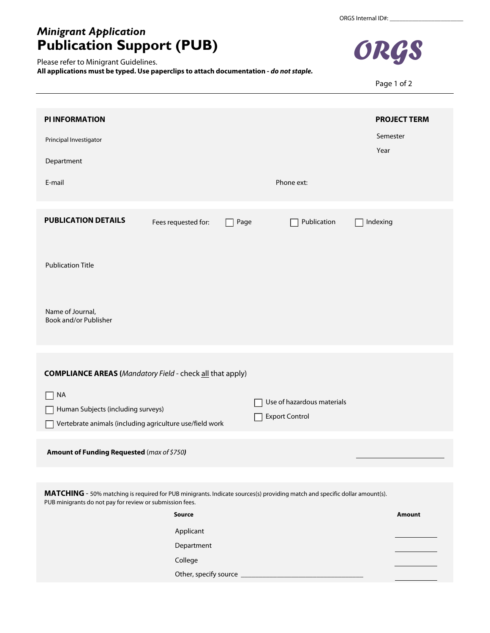## *Minigrant Application* **Publication Support (PUB)**

Please refer to Minigrant Guidelines.

**All applications must be typed. Use paperclips to attach documentation -** *do not staple.*



Page 1 of 2

| <b>PI INFORMATION</b>                                                                                       | <b>PROJECT TERM</b>                                 |  |  |  |
|-------------------------------------------------------------------------------------------------------------|-----------------------------------------------------|--|--|--|
| Principal Investigator                                                                                      | Semester<br>Year                                    |  |  |  |
| Department                                                                                                  |                                                     |  |  |  |
| E-mail                                                                                                      | Phone ext:                                          |  |  |  |
| <b>PUBLICATION DETAILS</b><br>Fees requested for:<br>Page                                                   | Publication<br>Indexing                             |  |  |  |
| <b>Publication Title</b>                                                                                    |                                                     |  |  |  |
| Name of Journal,<br>Book and/or Publisher                                                                   |                                                     |  |  |  |
|                                                                                                             |                                                     |  |  |  |
| <b>COMPLIANCE AREAS (Mandatory Field - check all that apply)</b>                                            |                                                     |  |  |  |
| <b>NA</b><br>Human Subjects (including surveys)<br>Vertebrate animals (including agriculture use/field work | Use of hazardous materials<br><b>Export Control</b> |  |  |  |
| Amount of Funding Requested (max of \$750)                                                                  |                                                     |  |  |  |

**MATCHING** - 50% matching is required for PUB minigrants. Indicate sources(s) providing match and specific dollar amount(s). PUB minigrants do not pay for review or submission fees.

| Source                | <b>Amount</b> |
|-----------------------|---------------|
| Applicant             |               |
| Department            |               |
| College               |               |
| Other, specify source |               |
|                       |               |